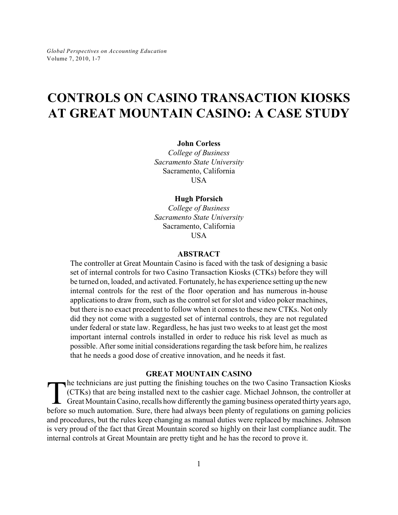# **CONTROLS ON CASINO TRANSACTION KIOSKS AT GREAT MOUNTAIN CASINO: A CASE STUDY**

#### **John Corless**

*College of Business Sacramento State University* Sacramento, California USA

#### **Hugh Pforsich**

*College of Business Sacramento State University* Sacramento, California **USA** 

## **ABSTRACT**

The controller at Great Mountain Casino is faced with the task of designing a basic set of internal controls for two Casino Transaction Kiosks (CTKs) before they will be turned on, loaded, and activated. Fortunately, he has experience setting up the new internal controls for the rest of the floor operation and has numerous in-house applications to draw from, such as the control set for slot and video poker machines, but there is no exact precedent to follow when it comes to these new CTKs. Not only did they not come with a suggested set of internal controls, they are not regulated under federal or state law. Regardless, he has just two weeks to at least get the most important internal controls installed in order to reduce his risk level as much as possible. After some initial considerations regarding the task before him, he realizes that he needs a good dose of creative innovation, and he needs it fast.

## **GREAT MOUNTAIN CASINO**

The technicians are just putting the finishing touches on the two Casino Transaction Kiosks (CTKs) that are being installed next to the cashier cage. Michael Johnson, the controller at Great Mountain Casino, recalls how di he technicians are just putting the finishing touches on the two Casino Transaction Kiosks (CTKs) that are being installed next to the cashier cage. Michael Johnson, the controller at Great Mountain Casino, recalls how differently the gaming business operated thirty years ago, and procedures, but the rules keep changing as manual duties were replaced by machines. Johnson is very proud of the fact that Great Mountain scored so highly on their last compliance audit. The internal controls at Great Mountain are pretty tight and he has the record to prove it.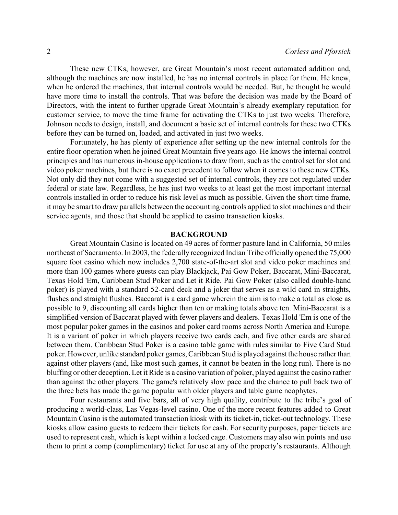These new CTKs, however, are Great Mountain's most recent automated addition and, although the machines are now installed, he has no internal controls in place for them. He knew, when he ordered the machines, that internal controls would be needed. But, he thought he would have more time to install the controls. That was before the decision was made by the Board of Directors, with the intent to further upgrade Great Mountain's already exemplary reputation for customer service, to move the time frame for activating the CTKs to just two weeks. Therefore, Johnson needs to design, install, and document a basic set of internal controls for these two CTKs before they can be turned on, loaded, and activated in just two weeks.

Fortunately, he has plenty of experience after setting up the new internal controls for the entire floor operation when he joined Great Mountain five years ago. He knows the internal control principles and has numerous in-house applications to draw from, such as the control set for slot and video poker machines, but there is no exact precedent to follow when it comes to these new CTKs. Not only did they not come with a suggested set of internal controls, they are not regulated under federal or state law. Regardless, he has just two weeks to at least get the most important internal controls installed in order to reduce his risk level as much as possible. Given the short time frame, it may be smart to draw parallels between the accounting controls applied to slot machines and their service agents, and those that should be applied to casino transaction kiosks.

## **BACKGROUND**

Great Mountain Casino is located on 49 acres of former pasture land in California, 50 miles northeast of Sacramento. In 2003, the federally recognized Indian Tribe officially opened the 75,000 square foot casino which now includes 2,700 state-of-the-art slot and video poker machines and more than 100 games where guests can play Blackjack, Pai Gow Poker, Baccarat, Mini-Baccarat, Texas Hold 'Em, Caribbean Stud Poker and Let it Ride. Pai Gow Poker (also called double-hand poker) is played with a standard 52-card deck and a joker that serves as a wild card in straights, flushes and straight flushes. Baccarat is a card game wherein the aim is to make a total as close as possible to 9, discounting all cards higher than ten or making totals above ten. Mini-Baccarat is a simplified version of Baccarat played with fewer players and dealers. Texas Hold 'Em is one of the most popular poker games in the casinos and poker card rooms across North America and Europe. It is a variant of poker in which players receive two cards each, and five other cards are shared between them. Caribbean Stud Poker is a casino table game with rules similar to Five Card Stud poker. However, unlike standard poker games, Caribbean Stud is played against the house rather than against other players (and, like most such games, it cannot be beaten in the long run). There is no bluffing or other deception. Let it Ride is a casino variation of poker, played against the casino rather than against the other players. The game's relatively slow pace and the chance to pull back two of the three bets has made the game popular with older players and table game neophytes.

Four restaurants and five bars, all of very high quality, contribute to the tribe's goal of producing a world-class, Las Vegas-level casino. One of the more recent features added to Great Mountain Casino is the automated transaction kiosk with its ticket-in, ticket-out technology. These kiosks allow casino guests to redeem their tickets for cash. For security purposes, paper tickets are used to represent cash, which is kept within a locked cage. Customers may also win points and use them to print a comp (complimentary) ticket for use at any of the property's restaurants. Although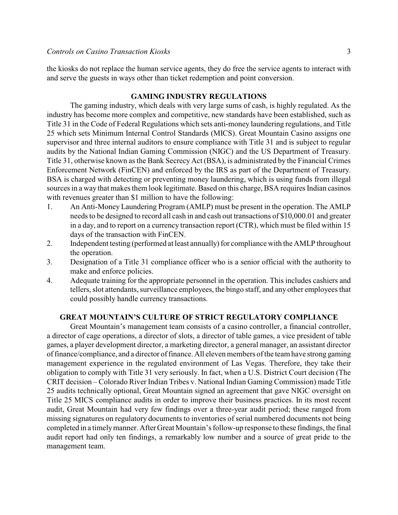the kiosks do not replace the human service agents, they do free the service agents to interact with and serve the guests in ways other than ticket redemption and point conversion.

## **GAMING INDUSTRY REGULATIONS**

The gaming industry, which deals with very large sums of cash, is highly regulated. As the industry has become more complex and competitive, new standards have been established, such as Title 31 in the Code of Federal Regulations which sets anti-money laundering regulations, and Title 25 which sets Minimum Internal Control Standards (MICS). Great Mountain Casino assigns one supervisor and three internal auditors to ensure compliance with Title 31 and is subject to regular audits by the National Indian Gaming Commission (NIGC) and the US Department of Treasury. Title 31, otherwise known as the Bank Secrecy Act (BSA), is administrated by the Financial Crimes Enforcement Network (FinCEN) and enforced by the IRS as part of the Department of Treasury. BSA is charged with detecting or preventing money laundering, which is using funds from illegal sources in a way that makes them look legitimate. Based on this charge, BSA requires Indian casinos with revenues greater than \$1 million to have the following:

- 1. An Anti-Money Laundering Program (AMLP) must be present in the operation. The AMLP needs to be designed to record all cash in and cash out transactions of \$10,000.01 and greater in a day, and to report on a currency transaction report (CTR), which must be filed within 15 days of the transaction with FinCEN.
- 2. Independent testing (performed at least annually) for compliance with the AMLP throughout the operation.
- 3. Designation of a Title 31 compliance officer who is a senior official with the authority to make and enforce policies.
- 4. Adequate training for the appropriate personnel in the operation. This includes cashiers and tellers, slot attendants, surveillance employees, the bingo staff, and any other employees that could possibly handle currency transactions.

## **GREAT MOUNTAIN'S CULTURE OF STRICT REGULATORY COMPLIANCE**

Great Mountain's management team consists of a casino controller, a financial controller, a director of cage operations, a director of slots, a director of table games, a vice president of table games, a player development director, a marketing director, a general manager, an assistant director of finance/compliance, and a director of finance. All eleven members of the team have strong gaming management experience in the regulated environment of Las Vegas. Therefore, they take their obligation to comply with Title 31 very seriously. In fact, when a U.S. District Court decision (The CRIT decision – Colorado River Indian Tribes v. National Indian Gaming Commission) made Title 25 audits technically optional, Great Mountain signed an agreement that gave NIGC oversight on Title 25 MICS compliance audits in order to improve their business practices. In its most recent audit, Great Mountain had very few findings over a three-year audit period; these ranged from missing signatures on regulatory documents to inventories of serial numbered documents not being completed in a timelymanner. AfterGreat Mountain's follow-up response to these findings, the final audit report had only ten findings, a remarkably low number and a source of great pride to the management team.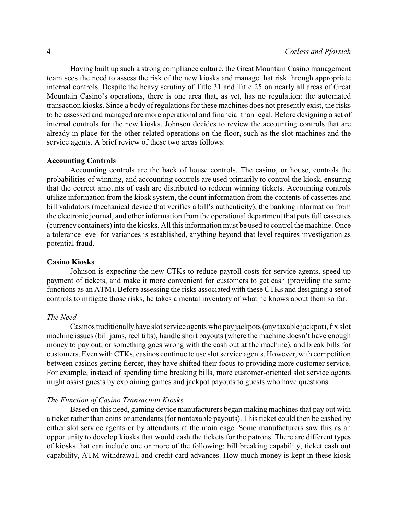Having built up such a strong compliance culture, the Great Mountain Casino management team sees the need to assess the risk of the new kiosks and manage that risk through appropriate internal controls. Despite the heavy scrutiny of Title 31 and Title 25 on nearly all areas of Great Mountain Casino's operations, there is one area that, as yet, has no regulation: the automated transaction kiosks. Since a body of regulations for these machines does not presently exist, the risks to be assessed and managed are more operational and financial than legal. Before designing a set of internal controls for the new kiosks, Johnson decides to review the accounting controls that are already in place for the other related operations on the floor, such as the slot machines and the service agents. A brief review of these two areas follows:

#### **Accounting Controls**

Accounting controls are the back of house controls. The casino, or house, controls the probabilities of winning, and accounting controls are used primarily to control the kiosk, ensuring that the correct amounts of cash are distributed to redeem winning tickets. Accounting controls utilize information from the kiosk system, the count information from the contents of cassettes and bill validators (mechanical device that verifies a bill's authenticity), the banking information from the electronic journal, and other information from the operational department that puts full cassettes (currency containers) into the kiosks. All this information must be used to control the machine. Once a tolerance level for variances is established, anything beyond that level requires investigation as potential fraud.

#### **Casino Kiosks**

Johnson is expecting the new CTKs to reduce payroll costs for service agents, speed up payment of tickets, and make it more convenient for customers to get cash (providing the same functions as an ATM). Before assessing the risks associated with these CTKs and designing a set of controls to mitigate those risks, he takes a mental inventory of what he knows about them so far.

#### *The Need*

Casinos traditionally have slot service agents who pay jackpots (anytaxable jackpot), fix slot machine issues (bill jams, reel tilts), handle short payouts (where the machine doesn't have enough money to pay out, or something goes wrong with the cash out at the machine), and break bills for customers. Even with CTKs, casinos continue to use slot service agents. However, with competition between casinos getting fiercer, they have shifted their focus to providing more customer service. For example, instead of spending time breaking bills, more customer-oriented slot service agents might assist guests by explaining games and jackpot payouts to guests who have questions.

#### *The Function of Casino Transaction Kiosks*

Based on this need, gaming device manufacturers began making machines that pay out with a ticket rather than coins or attendants (for nontaxable payouts). This ticket could then be cashed by either slot service agents or by attendants at the main cage. Some manufacturers saw this as an opportunity to develop kiosks that would cash the tickets for the patrons. There are different types of kiosks that can include one or more of the following: bill breaking capability, ticket cash out capability, ATM withdrawal, and credit card advances. How much money is kept in these kiosk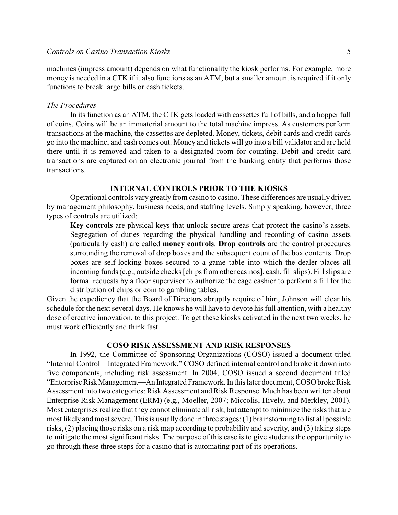machines (impress amount) depends on what functionality the kiosk performs. For example, more money is needed in a CTK if it also functions as an ATM, but a smaller amount is required if it only functions to break large bills or cash tickets.

#### *The Procedures*

In its function as an ATM, the CTK gets loaded with cassettes full of bills, and a hopper full of coins. Coins will be an immaterial amount to the total machine impress. As customers perform transactions at the machine, the cassettes are depleted. Money, tickets, debit cards and credit cards go into the machine, and cash comes out. Money and tickets will go into a bill validator and are held there until it is removed and taken to a designated room for counting. Debit and credit card transactions are captured on an electronic journal from the banking entity that performs those transactions.

### **INTERNAL CONTROLS PRIOR TO THE KIOSKS**

Operational controls vary greatly from casino to casino. These differences are usually driven by management philosophy, business needs, and staffing levels. Simply speaking, however, three types of controls are utilized:

**Key controls** are physical keys that unlock secure areas that protect the casino's assets. Segregation of duties regarding the physical handling and recording of casino assets (particularly cash) are called **money controls**. **Drop controls** are the control procedures surrounding the removal of drop boxes and the subsequent count of the box contents. Drop boxes are self-locking boxes secured to a game table into which the dealer places all incoming funds (e.g., outside checks [chips from other casinos], cash, fill slips). Fill slips are formal requests by a floor supervisor to authorize the cage cashier to perform a fill for the distribution of chips or coin to gambling tables.

Given the expediency that the Board of Directors abruptly require of him, Johnson will clear his schedule for the next several days. He knows he will have to devote his full attention, with a healthy dose of creative innovation, to this project. To get these kiosks activated in the next two weeks, he must work efficiently and think fast.

#### **COSO RISK ASSESSMENT AND RISK RESPONSES**

In 1992, the Committee of Sponsoring Organizations (COSO) issued a document titled "Internal Control—Integrated Framework." COSO defined internal control and broke it down into five components, including risk assessment. In 2004, COSO issued a second document titled "Enterprise Risk Management—An Integrated Framework. In this later document, COSO broke Risk Assessment into two categories: Risk Assessment and Risk Response. Much has been written about Enterprise Risk Management (ERM) (e.g., Moeller, 2007; Miccolis, Hively, and Merkley, 2001). Most enterprises realize that they cannot eliminate all risk, but attempt to minimize the risks that are most likely and most severe. This is usually done in three stages: (1) brainstorming to list all possible risks, (2) placing those risks on a risk map according to probability and severity, and (3) taking steps to mitigate the most significant risks. The purpose of this case is to give students the opportunity to go through these three steps for a casino that is automating part of its operations.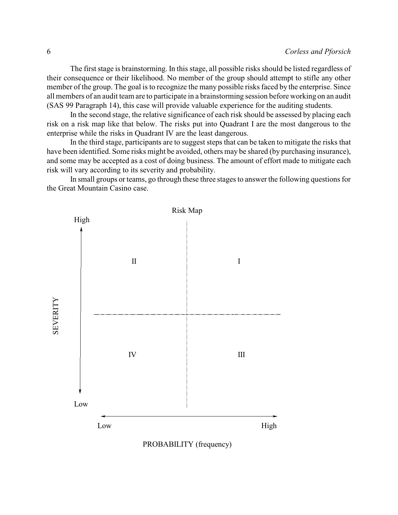The first stage is brainstorming. In this stage, all possible risks should be listed regardless of their consequence or their likelihood. No member of the group should attempt to stifle any other member of the group. The goal is to recognize the many possible risks faced by the enterprise. Since all members of an audit team are to participate in a brainstorming session before working on an audit (SAS 99 Paragraph 14), this case will provide valuable experience for the auditing students.

In the second stage, the relative significance of each risk should be assessed by placing each risk on a risk map like that below. The risks put into Quadrant I are the most dangerous to the enterprise while the risks in Quadrant IV are the least dangerous.

In the third stage, participants are to suggest steps that can be taken to mitigate the risks that have been identified. Some risks might be avoided, others may be shared (by purchasing insurance), and some may be accepted as a cost of doing business. The amount of effort made to mitigate each risk will vary according to its severity and probability.

In small groups or teams, go through these three stages to answer the following questions for the Great Mountain Casino case.